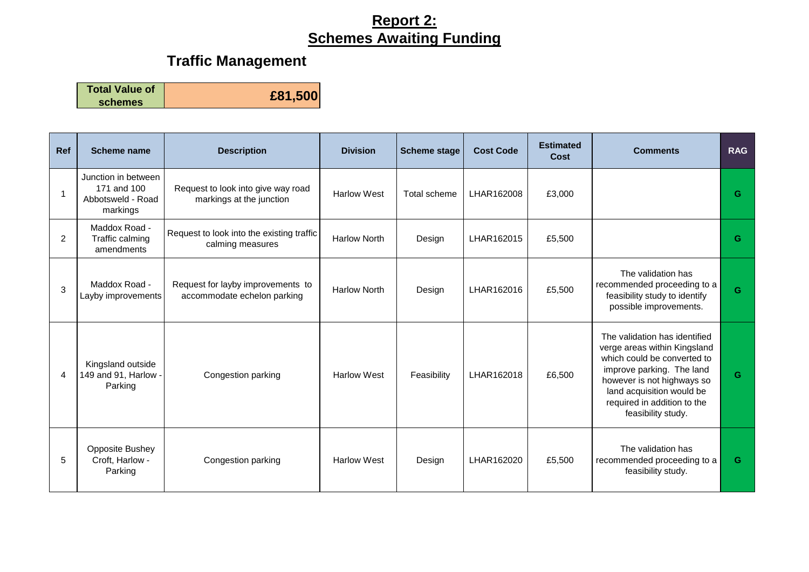# **Traffic Management**

**Total Value of** 

**schemes £81,500**

| <b>Ref</b>     | Scheme name                                                         | <b>Description</b>                                               | <b>Division</b>     | <b>Scheme stage</b> | <b>Cost Code</b> | <b>Estimated</b><br>Cost | <b>Comments</b>                                                                                                                                                                                                                           | <b>RAG</b> |
|----------------|---------------------------------------------------------------------|------------------------------------------------------------------|---------------------|---------------------|------------------|--------------------------|-------------------------------------------------------------------------------------------------------------------------------------------------------------------------------------------------------------------------------------------|------------|
|                | Junction in between<br>171 and 100<br>Abbotsweld - Road<br>markings | Request to look into give way road<br>markings at the junction   | <b>Harlow West</b>  | Total scheme        | LHAR162008       | £3,000                   |                                                                                                                                                                                                                                           | G          |
| $\overline{2}$ | Maddox Road -<br>Traffic calming<br>amendments                      | Request to look into the existing traffic<br>calming measures    | <b>Harlow North</b> | Design              | LHAR162015       | £5,500                   |                                                                                                                                                                                                                                           | G          |
| 3              | Maddox Road -<br>Layby improvements                                 | Request for layby improvements to<br>accommodate echelon parking | <b>Harlow North</b> | Design              | LHAR162016       | £5,500                   | The validation has<br>recommended proceeding to a<br>feasibility study to identify<br>possible improvements.                                                                                                                              | G          |
| $\overline{4}$ | Kingsland outside<br>149 and 91, Harlow<br>Parking                  | Congestion parking                                               | <b>Harlow West</b>  | Feasibility         | LHAR162018       | £6,500                   | The validation has identified<br>verge areas within Kingsland<br>which could be converted to<br>improve parking. The land<br>however is not highways so<br>land acquisition would be<br>required in addition to the<br>feasibility study. | G          |
| 5              | <b>Opposite Bushey</b><br>Croft, Harlow -<br>Parking                | Congestion parking                                               | <b>Harlow West</b>  | Design              | LHAR162020       | £5,500                   | The validation has<br>recommended proceeding to a<br>feasibility study.                                                                                                                                                                   | G          |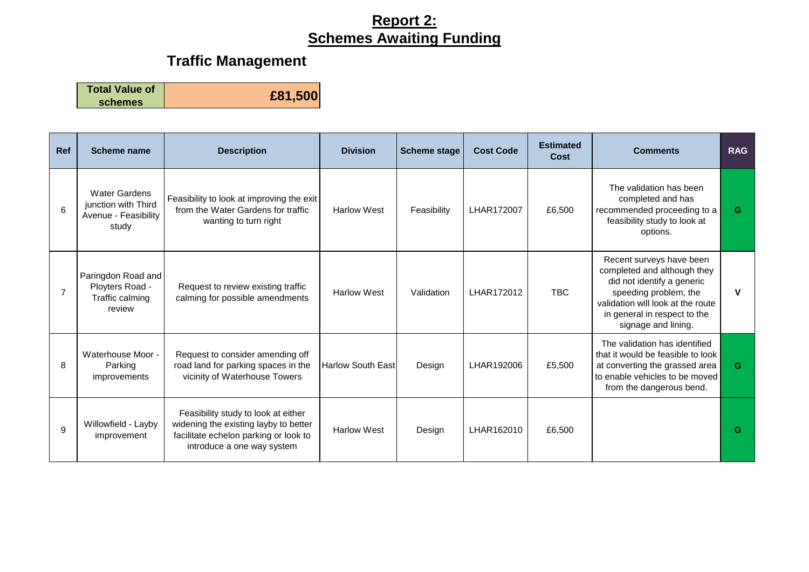The validation has been completed and has recommended proceeding to a

**G**

#### **Traffic Management**

**Total Value of schemes £81,500**

**Ref Scheme name Description Division Scheme stage Cost Code Estimated Cost Comments RAG** 6 Water Gardens junction with Third Avenue - Feasibility study Feasibility to look at improving the exit from the Water Gardens for traffic wanting to turn right Harlow West | Feasibility | LHAR172007 | £6,500 Paringdon Road and Ployters Road - Traffic calming review Request to review existing traffic Request to fevrew existing trainc Harlow West Validation | LHAR172012 | TBC

feasibility study to look at options. 7 Recent surveys have been completed and although they did not identify a generic speeding problem, the validation will look at the route in general in respect to the signage and lining. **V** 8 Waterhouse Moor - Parking improvements Request to consider amending off road land for parking spaces in the vicinity of Waterhouse Towers  $\vert$  Harlow South East Design  $\vert$  LHAR192006  $\vert$  £5,500 The validation has identified that it would be feasible to look at converting the grassed area to enable vehicles to be moved from the dangerous bend. **G** 9 Willowfield - Layby improvement Feasibility study to look at either widening the existing layby to better facilitate echelon parking or look to introduce a one way system Harlow West Design LHAR162010 £6,500 **G**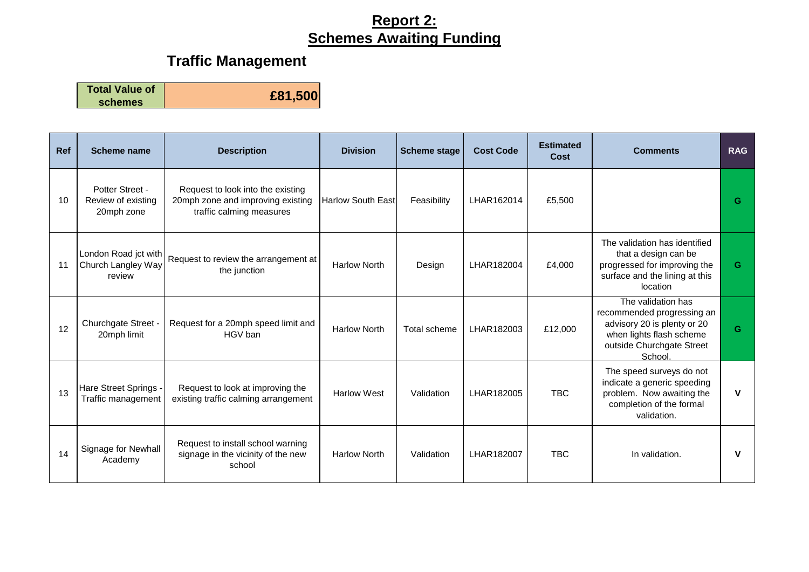# **Traffic Management**

**Total Value of** 

**schemes £81,500**

| <b>Ref</b> | Scheme name                                          | <b>Description</b>                                                                                 | <b>Division</b>          | <b>Scheme stage</b> | <b>Cost Code</b> | <b>Estimated</b><br>Cost | <b>Comments</b>                                                                                                                                     | <b>RAG</b> |
|------------|------------------------------------------------------|----------------------------------------------------------------------------------------------------|--------------------------|---------------------|------------------|--------------------------|-----------------------------------------------------------------------------------------------------------------------------------------------------|------------|
| 10         | Potter Street -<br>Review of existing<br>20mph zone  | Request to look into the existing<br>20mph zone and improving existing<br>traffic calming measures | <b>Harlow South East</b> | Feasibility         | LHAR162014       | £5,500                   |                                                                                                                                                     | G          |
| 11         | London Road jct with<br>Church Langley Way<br>review | Request to review the arrangement at<br>the junction                                               | <b>Harlow North</b>      | Design              | LHAR182004       | £4,000                   | The validation has identified<br>that a design can be<br>progressed for improving the<br>surface and the lining at this<br>location                 | G          |
| 12         | Churchgate Street -<br>20mph limit                   | Request for a 20mph speed limit and<br>HGV ban                                                     | <b>Harlow North</b>      | Total scheme        | LHAR182003       | £12,000                  | The validation has<br>recommended progressing an<br>advisory 20 is plenty or 20<br>when lights flash scheme<br>outside Churchgate Street<br>School. | G          |
| 13         | Hare Street Springs -<br>Traffic management          | Request to look at improving the<br>existing traffic calming arrangement                           | <b>Harlow West</b>       | Validation          | LHAR182005       | <b>TBC</b>               | The speed surveys do not<br>indicate a generic speeding<br>problem. Now awaiting the<br>completion of the formal<br>validation.                     | V          |
| 14         | Signage for Newhall<br>Academy                       | Request to install school warning<br>signage in the vicinity of the new<br>school                  | <b>Harlow North</b>      | Validation          | LHAR182007       | <b>TBC</b>               | In validation.                                                                                                                                      | v          |